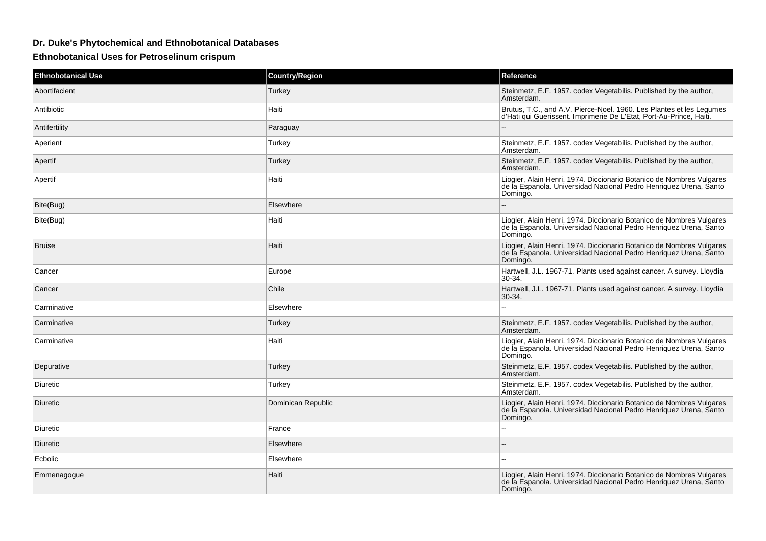## **Dr. Duke's Phytochemical and Ethnobotanical Databases**

**Ethnobotanical Uses for Petroselinum crispum**

| <b>Ethnobotanical Use</b> | <b>Country/Region</b> | <b>Reference</b>                                                                                                                                      |
|---------------------------|-----------------------|-------------------------------------------------------------------------------------------------------------------------------------------------------|
| Abortifacient             | Turkey                | Steinmetz, E.F. 1957. codex Vegetabilis. Published by the author,<br>Amsterdam.                                                                       |
| Antibiotic                | Haiti                 | Brutus, T.C., and A.V. Pierce-Noel. 1960. Les Plantes et les Legumes<br>d'Hati qui Guerissent. Imprimerie De L'Etat, Port-Au-Prince, Haiti.           |
| Antifertility             | Paraguay              | $\overline{a}$                                                                                                                                        |
| Aperient                  | Turkey                | Steinmetz, E.F. 1957. codex Vegetabilis. Published by the author,<br>Amsterdam.                                                                       |
| Apertif                   | Turkey                | Steinmetz, E.F. 1957. codex Vegetabilis. Published by the author,<br>Amsterdam.                                                                       |
| Apertif                   | Haiti                 | Liogier, Alain Henri. 1974. Diccionario Botanico de Nombres Vulgares<br>de la Espanola. Universidad Nacional Pedro Henriquez Urena, Santo<br>Domingo. |
| Bite(Bug)                 | Elsewhere             |                                                                                                                                                       |
| Bite(Bug)                 | Haiti                 | Liogier, Alain Henri. 1974. Diccionario Botanico de Nombres Vulgares<br>de la Espanola. Universidad Nacional Pedro Henriquez Urena, Santo<br>Domingo. |
| <b>Bruise</b>             | Haiti                 | Liogier, Alain Henri. 1974. Diccionario Botanico de Nombres Vulgares<br>de la Espanola. Universidad Nacional Pedro Henriquez Urena, Santo<br>Domingo. |
| Cancer                    | Europe                | Hartwell, J.L. 1967-71. Plants used against cancer. A survey. Lloydia<br>30-34.                                                                       |
| Cancer                    | Chile                 | Hartwell, J.L. 1967-71. Plants used against cancer. A survey. Lloydia<br>30-34.                                                                       |
| Carminative               | Elsewhere             |                                                                                                                                                       |
| Carminative               | Turkey                | Steinmetz, E.F. 1957. codex Vegetabilis. Published by the author,<br>Amsterdam.                                                                       |
| Carminative               | Haiti                 | Liogier, Alain Henri. 1974. Diccionario Botanico de Nombres Vulgares<br>de la Espanola. Universidad Nacional Pedro Henriquez Urena, Santo<br>Domingo. |
| Depurative                | Turkey                | Steinmetz, E.F. 1957. codex Vegetabilis. Published by the author,<br>Amsterdam.                                                                       |
| Diuretic                  | Turkey                | Steinmetz, E.F. 1957. codex Vegetabilis. Published by the author,<br>Amsterdam.                                                                       |
| Diuretic                  | Dominican Republic    | Liogier, Alain Henri. 1974. Diccionario Botanico de Nombres Vulgares<br>de la Espanola. Universidad Nacional Pedro Henriquez Urena, Santo<br>Domingo. |
| Diuretic                  | France                |                                                                                                                                                       |
| Diuretic                  | Elsewhere             |                                                                                                                                                       |
| Ecbolic                   | Elsewhere             |                                                                                                                                                       |
| Emmenagogue               | Haiti                 | Liogier, Alain Henri. 1974. Diccionario Botanico de Nombres Vulgares<br>de la Espanola. Universidad Nacional Pedro Henriquez Urena, Santo<br>Domingo. |